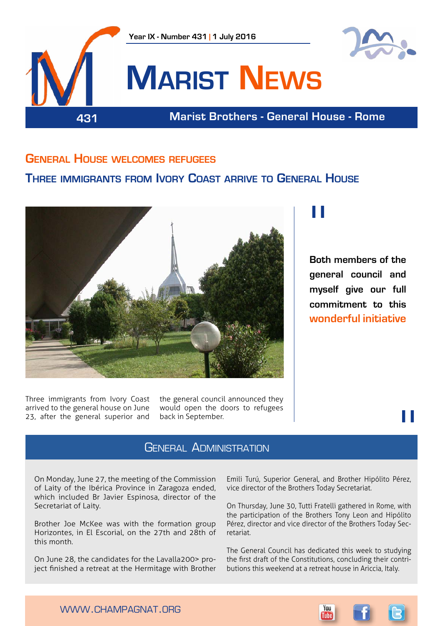

### **General House welcomes refugees**

### **Three immigrants from Ivory Coast arrive to General House**



Three immigrants from Ivory Coast arrived to the general house on June 23, after the general superior and

the general council announced they would open the doors to refugees back in September.

### General Administration

On Monday, June 27, the meeting of the Commission of Laity of the Ibérica Province in Zaragoza ended, which included Br Javier Espinosa, director of the Secretariat of Laity.

Brother Joe McKee was with the formation group Horizontes, in El Escorial, on the 27th and 28th of this month.

On June 28, the candidates for the Lavalla200> project finished a retreat at the Hermitage with Brother

Emili Turú, Superior General, and Brother Hipólito Pérez, vice director of the Brothers Today Secretariat.

On Thursday, June 30, Tutti Fratelli gathered in Rome, with the participation of the Brothers Tony Leon and Hipólito Pérez, director and vice director of the Brothers Today Secretariat.

The General Council has dedicated this week to studying the first draft of the Constitutions, concluding their contributions this weekend at a retreat house in Ariccia, Italy.

# "

**Both members of the general council and myself give our full commitment to this wonderful initiative**

"



www.champagnat.org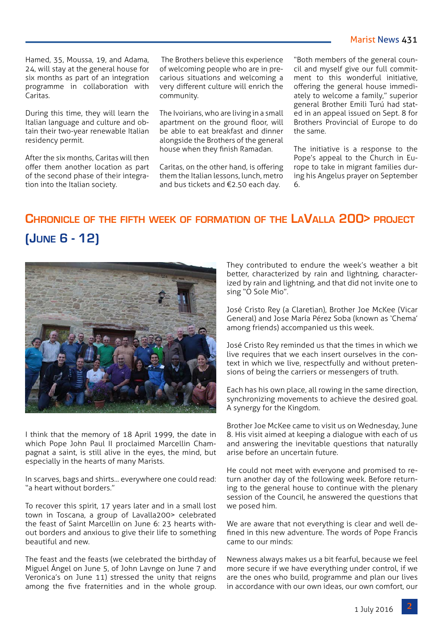### Marist News 431

Hamed, 35, Moussa, 19, and Adama, 24, will stay at the general house for six months as part of an integration programme in collaboration with Caritas.

During this time, they will learn the Italian language and culture and obtain their two-year renewable Italian residency permit.

After the six months, Caritas will then offer them another location as part of the second phase of their integration into the Italian society.

 The Brothers believe this experience of welcoming people who are in precarious situations and welcoming a very different culture will enrich the community.

The Ivoirians, who are living in a small apartment on the ground floor, will be able to eat breakfast and dinner alongside the Brothers of the general house when they finish Ramadan.

Caritas, on the other hand, is offering them the Italian lessons, lunch, metro and bus tickets and €2.50 each day.

"Both members of the general council and myself give our full commitment to this wonderful initiative, offering the general house immediately to welcome a family," superior general Brother Emili Turú had stated in an appeal issued on Sept. 8 for Brothers Provincial of Europe to do the same.

The initiative is a response to the Pope's appeal to the Church in Europe to take in migrant families during his Angelus prayer on September 6.

## **Chronicle of the fifth week of formation of the LaValla 200> project (June 6 - 12)**



I think that the memory of 18 April 1999, the date in which Pope John Paul II proclaimed Marcellin Champagnat a saint, is still alive in the eyes, the mind, but especially in the hearts of many Marists.

In scarves, bags and shirts... everywhere one could read: "a heart without borders."

To recover this spirit, 17 years later and in a small lost town in Toscana, a group of Lavalla200> celebrated the feast of Saint Marcellin on June 6: 23 hearts without borders and anxious to give their life to something beautiful and new.

The feast and the feasts (we celebrated the birthday of Miguel Ángel on June 5, of John Lavnge on June 7 and Veronica's on June 11) stressed the unity that reigns among the five fraternities and in the whole group.

They contributed to endure the week's weather a bit better, characterized by rain and lightning, characterized by rain and lightning, and that did not invite one to sing "O Sole Mio".

José Cristo Rey (a Claretian), Brother Joe McKee (Vicar General) and Jose María Pérez Soba (known as 'Chema' among friends) accompanied us this week.

José Cristo Rey reminded us that the times in which we live requires that we each insert ourselves in the context in which we live, respectfully and without pretensions of being the carriers or messengers of truth.

Each has his own place, all rowing in the same direction, synchronizing movements to achieve the desired goal. A synergy for the Kingdom.

Brother Joe McKee came to visit us on Wednesday, June 8. His visit aimed at keeping a dialogue with each of us and answering the inevitable questions that naturally arise before an uncertain future.

He could not meet with everyone and promised to return another day of the following week. Before returning to the general house to continue with the plenary session of the Council, he answered the questions that we posed him.

We are aware that not everything is clear and well defined in this new adventure. The words of Pope Francis came to our minds:

Newness always makes us a bit fearful, because we feel more secure if we have everything under control, if we are the ones who build, programme and plan our lives in accordance with our own ideas, our own comfort, our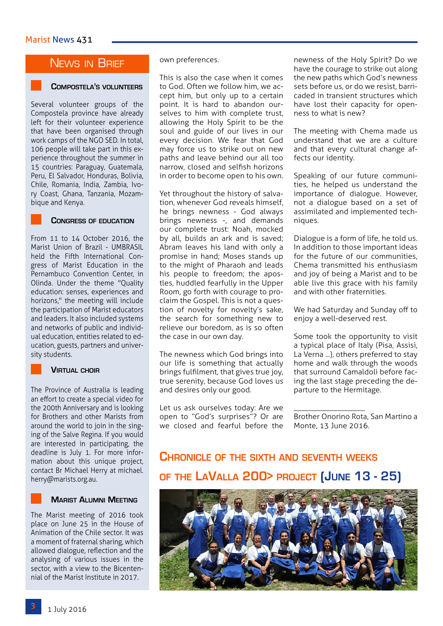### News in Brief

### **Compostela's volunteers**

Several volunteer groups of the Compostela province have already left for their volunteer experience that have been organised through work camps of the NGO SED. In total, 106 people will take part in this experience throughout the summer in 15 countries: Paraguay, Guatemala, Peru, El Salvador, Honduras, Bolivia, Chile, Romania, India, Zambia, Ivory Coast, Ghana, Tanzania, Mozambique and Kenya.



#### **Congress of education**

From 11 to 14 October 2016, the Marist Union of Brazil - UMBRASIL held the Fifth International Congress of Marist Education in the Pernambuco Convention Center, in Olinda. Under the theme "Quality education: senses, experiences and horizons," the meeting will include the participation of Marist educators and leaders. It also included systems and networks of public and individual education, entities related to education, guests, partners and university students.

#### **Virtual choir**

The Province of Australia is leading an effort to create a special video for the 200th Anniversary and is looking for Brothers and other Marists from around the world to join in the singing of the Salve Regina. If you would are interested in participating, the deadline is July 1. For more information about this unique project, contact Br Michael Herry at michael. herry@marists.org.au.



#### **Marist Alumni Meeting**

The Marist meeting of 2016 took place on June 25 in the House of Animation of the Chile sector. It was a moment of fraternal sharing, which allowed dialogue, reflection and the analysing of various issues in the sector, with a view to the Bicentennial of the Marist Institute in 2017.

#### own preferences.

This is also the case when it comes to God. Often we follow him, we accept him, but only up to a certain point. It is hard to abandon ourselves to him with complete trust, allowing the Holy Spirit to be the soul and guide of our lives in our every decision. We fear that God may force us to strike out on new paths and leave behind our all too narrow, closed and selfish horizons in order to become open to his own.

Yet throughout the history of salvation, whenever God reveals himself, he brings newness - God always brings newness -, and demands our complete trust: Noah, mocked by all, builds an ark and is saved; Abram leaves his land with only a promise in hand; Moses stands up to the might of Pharaoh and leads his people to freedom; the apostles, huddled fearfully in the Upper Room, go forth with courage to proclaim the Gospel. This is not a question of novelty for novelty's sake, the search for something new to relieve our boredom, as is so often the case in our own day.

The newness which God brings into our life is something that actually brings fulfilment, that gives true joy, true serenity, because God loves us and desires only our good.

Let us ask ourselves today: Are we open to "God's surprises"? Or are we closed and fearful before the newness of the Holy Spirit? Do we have the courage to strike out along the new paths which God's newness sets before us, or do we resist, barricaded in transient structures which have lost their capacity for openness to what is new?

The meeting with Chema made us understand that we are a culture and that every cultural change affects our identity.

Speaking of our future communities, he helped us understand the importance of dialogue. However, not a dialogue based on a set of assimilated and implemented techniques.

Dialogue is a form of life, he told us. In addition to those important ideas for the future of our communities, Chema transmitted his enthusiasm and joy of being a Marist and to be able live this grace with his family and with other fraternities.

We had Saturday and Sunday off to enjoy a well-deserved rest.

Some took the opportunity to visit a typical place of Italy (Pisa, Assisi, La Verna ...), others preferred to stay home and walk through the woods that surround Camaldoli before facing the last stage preceding the departure to the Hermitage.

\_\_\_\_\_\_\_\_\_\_\_\_\_\_\_\_\_\_ Brother Onorino Rota, San Martino a Monte, 13 June 2016.

## **Chronicle of the sixth and seventh weeks of the LaValla 200> project (June 13 - 25)**

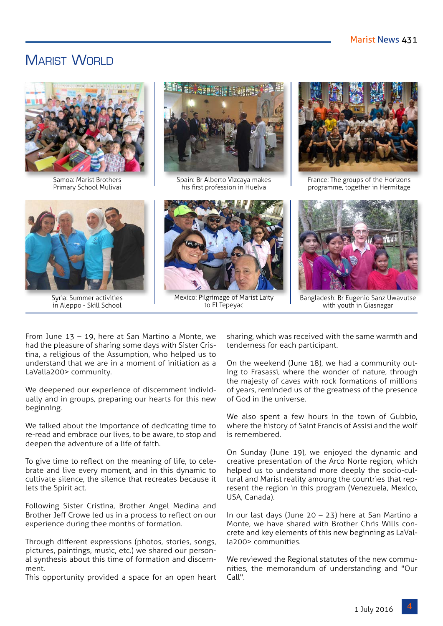## MARIST WORLD



Samoa: Marist Brothers Primary School Mulivai



Syria: Summer activities in Aleppo - Skill School



Spain: Br Alberto Vizcaya makes his first profession in Huelva



Mexico: Pilgrimage of Marist Laity to El Tepeyac



France: The groups of the Horizons programme, together in Hermitage



Bangladesh: Br Eugenio Sanz Uwavutse with youth in Giasnagar

From June 13 – 19, here at San Martino a Monte, we had the pleasure of sharing some days with Sister Cristina, a religious of the Assumption, who helped us to understand that we are in a moment of initiation as a LaValla200> community.

We deepened our experience of discernment individually and in groups, preparing our hearts for this new beginning.

We talked about the importance of dedicating time to re-read and embrace our lives, to be aware, to stop and deepen the adventure of a life of faith.

To give time to reflect on the meaning of life, to celebrate and live every moment, and in this dynamic to cultivate silence, the silence that recreates because it lets the Spirit act.

Following Sister Cristina, Brother Angel Medina and Brother Jeff Crowe led us in a process to reflect on our experience during thee months of formation.

Through different expressions (photos, stories, songs, pictures, paintings, music, etc.) we shared our personal synthesis about this time of formation and discernment.

This opportunity provided a space for an open heart

sharing, which was received with the same warmth and tenderness for each participant.

On the weekend (June 18), we had a community outing to Frasassi, where the wonder of nature, through the majesty of caves with rock formations of millions of years, reminded us of the greatness of the presence of God in the universe.

We also spent a few hours in the town of Gubbio, where the history of Saint Francis of Assisi and the wolf is remembered.

On Sunday (June 19), we enjoyed the dynamic and creative presentation of the Arco Norte region, which helped us to understand more deeply the socio-cultural and Marist reality amoung the countries that represent the region in this program (Venezuela, Mexico, USA, Canada).

In our last days (June 20 – 23) here at San Martino a Monte, we have shared with Brother Chris Wills concrete and key elements of this new beginning as LaValla200> communities.

We reviewed the Regional statutes of the new communities, the memorandum of understanding and "Our Call".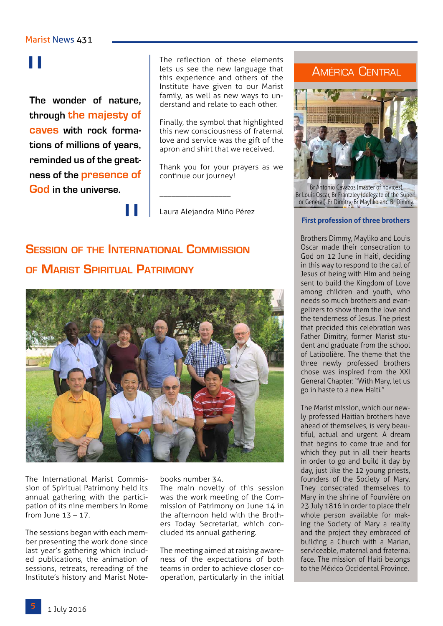# "

**The wonder of nature, through the majesty of caves with rock formations of millions of years, reminded us of the greatness of the presence of God in the universe.**

The reflection of these elements lets us see the new language that this experience and others of the Institute have given to our Marist family, as well as new ways to understand and relate to each other.

Finally, the symbol that highlighted this new consciousness of fraternal love and service was the gift of the apron and shirt that we received.

Thank you for your prayers as we continue our journey!

Laura Alejandra Miño Pérez

\_\_\_\_\_\_\_\_\_\_\_\_\_\_\_\_\_\_

## **Session of the International Commission of Marist Spiritual Patrimony**

"



The International Marist Commission of Spiritual Patrimony held its annual gathering with the participation of its nine members in Rome from June  $13 - 17$ .

The sessions began with each member presenting the work done since last year's gathering which included publications, the animation of sessions, retreats, rereading of the Institute's history and Marist Notebooks number 34.

The main novelty of this session was the work meeting of the Commission of Patrimony on June 14 in the afternoon held with the Brothers Today Secretariat, which concluded its annual gathering.

The meeting aimed at raising awareness of the expectations of both teams in order to achieve closer cooperation, particularly in the initial

### América Central



Br Antonio Cavazos (master of novices), Br Louis Oscar, Br Frantzley (delegate of the Superior General), Fr Dimitry, Br Mayliko and Br Dimmy.

#### **First profession of three brothers**

Brothers Dimmy, Mayliko and Louis Oscar made their consecration to God on 12 June in Haiti, deciding in this way to respond to the call of Jesus of being with Him and being sent to build the Kingdom of Love among children and youth, who needs so much brothers and evangelizers to show them the love and the tenderness of Jesus. The priest that precided this celebration was Father Dimitry, former Marist student and graduate from the school of Latibolière. The theme that the three newly professed brothers chose was inspired from the XXI General Chapter: "With Mary, let us go in haste to a new Haiti."

The Marist mission, which our newly professed Haitian brothers have ahead of themselves, is very beautiful, actual and urgent. A dream that begins to come true and for which they put in all their hearts in order to go and build it day by day, just like the 12 young priests, founders of the Society of Mary. They consecrated themselves to Mary in the shrine of Fourvière on 23 July 1816 in order to place their whole person available for making the Society of Mary a reality and the project they embraced of building a Church with a Marian, serviceable, maternal and fraternal face. The mission of Haiti belongs to the México Occidental Province.